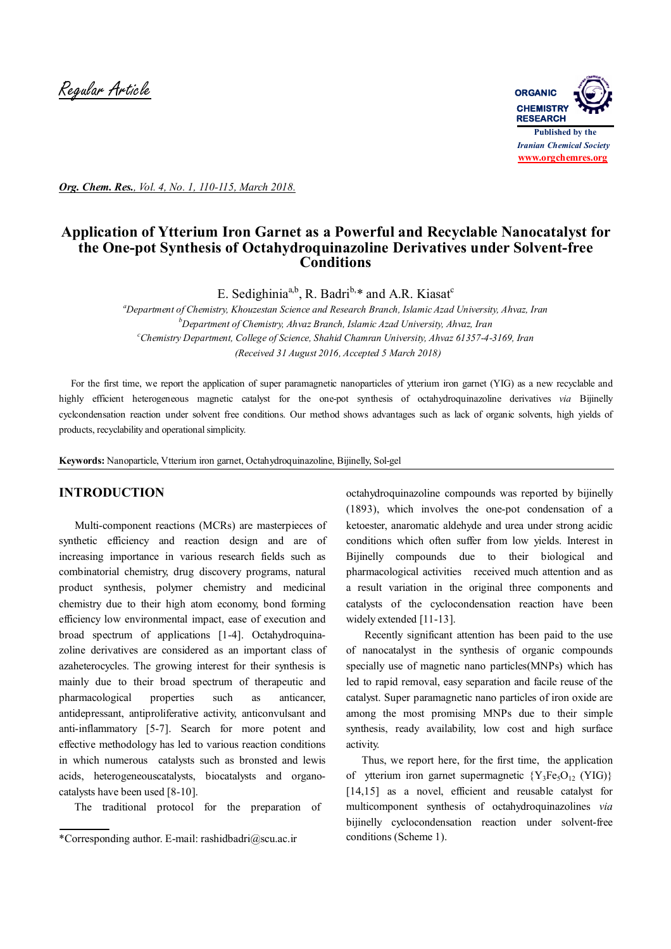

*Org. Chem. Res., Vol. 4, No. 1, 110-115, March 2018.*

# **Application of Ytterium Iron Garnet as a Powerful and Recyclable Nanocatalyst for the One-pot Synthesis of Octahydroquinazoline Derivatives under Solvent-free Conditions**

E. Sedighinia<sup>a,b</sup>, R. Badri<sup>b,\*</sup> and A.R. Kiasat<sup>c</sup>

*<sup>a</sup>Department of Chemistry, Khouzestan Science and Research Branch, Islamic Azad University, Ahvaz, Iran <sup>b</sup>Department of Chemistry, Ahvaz Branch, Islamic Azad University, Ahvaz, Iran <sup>c</sup>Chemistry Department, College of Science, Shahid Chamran University, Ahvaz 61357-4-3169, Iran (Received 31 August 2016, Accepted 5 March 2018)*

 For the first time, we report the application of super paramagnetic nanoparticles of ytterium iron garnet (YIG) as a new recyclable and highly efficient heterogeneous magnetic catalyst for the one-pot synthesis of octahydroquinazoline derivatives *via* Bijinelly cyclcondensation reaction under solvent free conditions. Our method shows advantages such as lack of organic solvents, high yields of products, recyclability and operational simplicity.

**Keywords:** Nanoparticle, Vtterium iron garnet, Octahydroquinazoline, Bijinelly, Sol-gel

# **INTRODUCTION**

Multi-component reactions (MCRs) are masterpieces of synthetic efficiency and reaction design and are of increasing importance in various research fields such as combinatorial chemistry, drug discovery programs, natural product synthesis, polymer chemistry and medicinal chemistry due to their high atom economy, bond forming efficiency low environmental impact, ease of execution and broad spectrum of applications [1-4]. Octahydroquinazoline derivatives are considered as an important class of azaheterocycles. The growing interest for their synthesis is mainly due to their broad spectrum of therapeutic and pharmacological properties such as anticancer, antidepressant, antiproliferative activity, anticonvulsant and anti-inflammatory [5-7]. Search for more potent and effective methodology has led to various reaction conditions in which numerous catalysts such as bronsted and lewis acids, heterogeneouscatalysts, biocatalysts and organocatalysts have been used [8-10].

The traditional protocol for the preparation of

octahydroquinazoline compounds was reported by bijinelly (1893), which involves the one-pot condensation of a ketoester, anaromatic aldehyde and urea under strong acidic conditions which often suffer from low yields. Interest in Bijinelly compounds due to their biological and pharmacological activities received much attention and as a result variation in the original three components and catalysts of the cyclocondensation reaction have been widely extended [11-13].

 Recently significant attention has been paid to the use of nanocatalyst in the synthesis of organic compounds specially use of magnetic nano particles(MNPs) which has led to rapid removal, easy separation and facile reuse of the catalyst. Super paramagnetic nano particles of iron oxide are among the most promising MNPs due to their simple synthesis, ready availability, low cost and high surface activity.

 Thus, we report here, for the first time, the application of ytterium iron garnet supermagnetic  ${Y_3Fe_5O_{12}}$  (YIG)} [14,15] as a novel, efficient and reusable catalyst for multicomponent synthesis of octahydroquinazolines *via* bijinelly cyclocondensation reaction under solvent-free conditions (Scheme 1).

<sup>\*</sup>Corresponding author. E-mail: rashidbadri@scu.ac.ir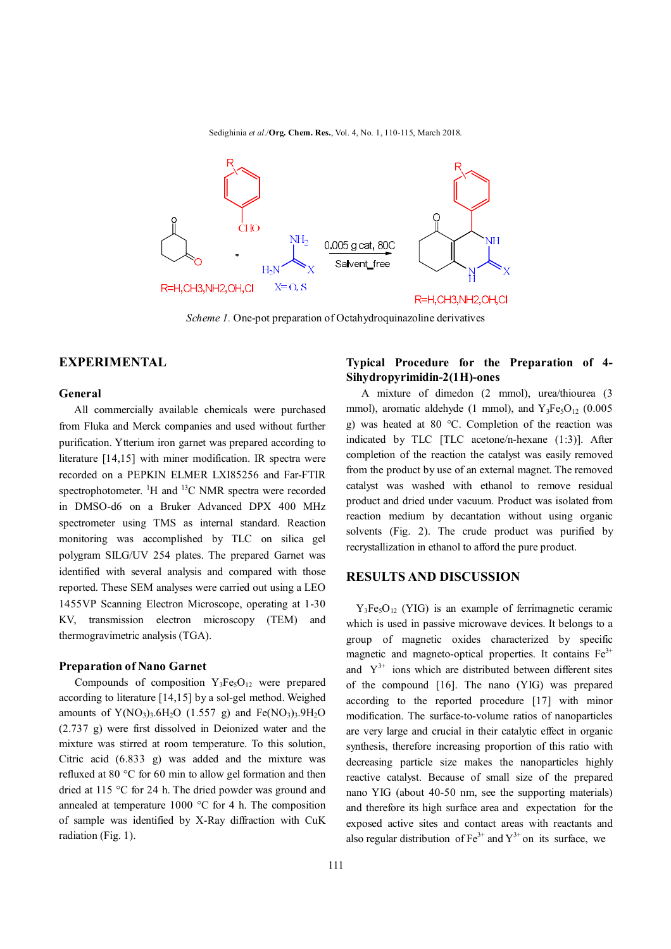Sedighinia *et al*./**Org. Chem. Res.**, Vol. 4, No. 1, 110-115, March 2018.



*Scheme 1.* One-pot preparation of Octahydroquinazoline derivatives

#### **EXPERIMENTAL**

#### **General**

 All commercially available chemicals were purchased from Fluka and Merck companies and used without further purification. Ytterium iron garnet was prepared according to literature [14,15] with miner modification. IR spectra were recorded on a PEPKIN ELMER LXI85256 and Far-FTIR spectrophotometer.  ${}^{1}H$  and  ${}^{13}C$  NMR spectra were recorded in DMSO-d6 on a Bruker Advanced DPX 400 MHz spectrometer using TMS as internal standard. Reaction monitoring was accomplished by TLC on silica gel polygram SILG/UV 254 plates. The prepared Garnet was identified with several analysis and compared with those reported. These SEM analyses were carried out using a LEO 1455VP Scanning Electron Microscope, operating at 1-30 KV, transmission electron microscopy (TEM) and thermogravimetric analysis (TGA).

#### **Preparation of Nano Garnet**

Compounds of composition  $Y_3Fe<sub>5</sub>O<sub>12</sub>$  were prepared according to literature [14,15] by a sol-gel method. Weighed amounts of  $Y(NO<sub>3</sub>)<sub>3</sub>·6H<sub>2</sub>O$  (1.557 g) and  $Fe(NO<sub>3</sub>)<sub>3</sub>·9H<sub>2</sub>O$ (2.737 g) were first dissolved in Deionized water and the mixture was stirred at room temperature. To this solution, Citric acid (6.833 g) was added and the mixture was refluxed at 80 °C for 60 min to allow gel formation and then dried at 115 °C for 24 h. The dried powder was ground and annealed at temperature 1000 °C for 4 h. The composition of sample was identified by X-Ray diffraction with CuK radiation (Fig. 1).

## **Typical Procedure for the Preparation of 4- Sihydropyrimidin-2(1H)-ones**

 A mixture of dimedon (2 mmol), urea/thiourea (3 mmol), aromatic aldehyde (1 mmol), and  $Y_3Fe_5O_{12}$  (0.005 g) was heated at 80 °C. Completion of the reaction was indicated by TLC [TLC acetone/n-hexane (1:3)]. After completion of the reaction the catalyst was easily removed from the product by use of an external magnet. The removed catalyst was washed with ethanol to remove residual product and dried under vacuum. Product was isolated from reaction medium by decantation without using organic solvents (Fig. 2). The crude product was purified by recrystallization in ethanol to afford the pure product.

### **RESULTS AND DISCUSSION**

 $Y_3Fe<sub>5</sub>O<sub>12</sub>$  (YIG) is an example of ferrimagnetic ceramic which is used in passive microwave devices. It belongs to a group of magnetic oxides characterized by specific magnetic and magneto-optical properties. It contains  $Fe<sup>3+</sup>$ and  $Y^{3+}$  ions which are distributed between different sites of the compound [16]. The nano (YIG) was prepared according to the reported procedure [17] with minor modification. The surface-to-volume ratios of nanoparticles are very large and crucial in their catalytic effect in organic synthesis, therefore increasing proportion of this ratio with decreasing particle size makes the nanoparticles highly reactive catalyst. Because of small size of the prepared nano YIG (about 40-50 nm, see the supporting materials) and therefore its high surface area and expectation for the exposed active sites and contact areas with reactants and also regular distribution of  $Fe^{3+}$  and  $Y^{3+}$  on its surface, we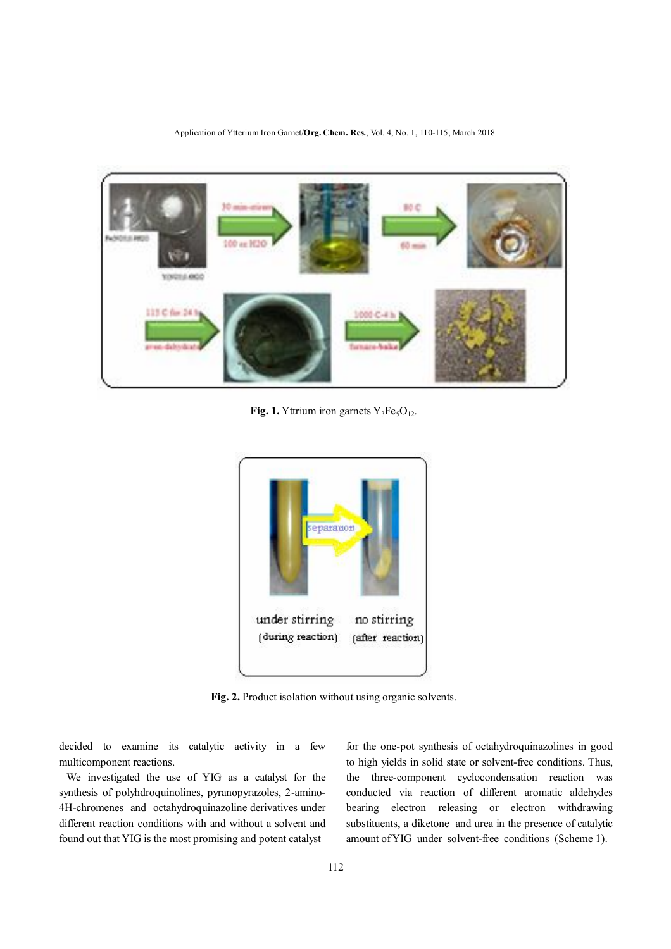Application of Ytterium Iron Garnet/**Org. Chem. Res.**, Vol. 4, No. 1, 110-115, March 2018.



**Fig. 1.** Yttrium iron garnets  $Y_3Fe<sub>5</sub>O<sub>12</sub>$ .



**Fig. 2.** Product isolation without using organic solvents.

decided to examine its catalytic activity in a few multicomponent reactions.

 We investigated the use of YIG as a catalyst for the synthesis of polyhdroquinolines, pyranopyrazoles, 2-amino-4H-chromenes and octahydroquinazoline derivatives under different reaction conditions with and without a solvent and found out that YIG is the most promising and potent catalyst

for the one-pot synthesis of octahydroquinazolines in good to high yields in solid state or solvent-free conditions. Thus, the three-component cyclocondensation reaction was conducted via reaction of different aromatic aldehydes bearing electron releasing or electron withdrawing substituents, a diketone and urea in the presence of catalytic amount of YIG under solvent-free conditions (Scheme 1).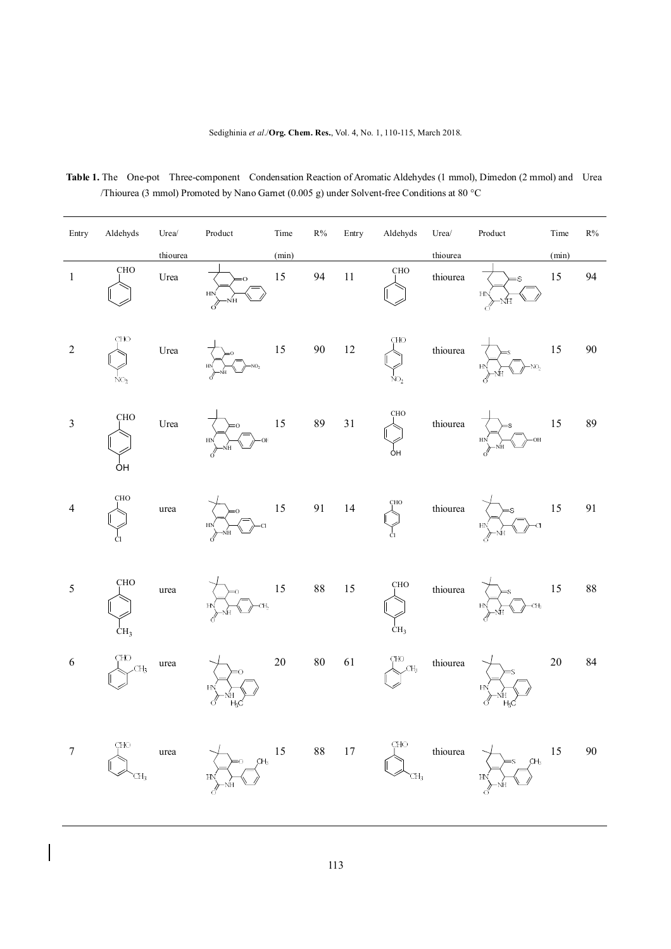| Entry            | Aldehyds                      | $Urea/$  | $\bf Product$                           | Time   | $\rm R\%$ | Entry  | Aldehyds               | $Urea/$                       | Product                         | Time       | $\rm R\%$ |
|------------------|-------------------------------|----------|-----------------------------------------|--------|-----------|--------|------------------------|-------------------------------|---------------------------------|------------|-----------|
|                  |                               | thiourea |                                         | (min)  |           |        |                        | thiourea                      |                                 | (min)      |           |
| $\mathbf{1}$     | CHO                           | Urea     | $= 0$<br>HN<br>ŃH<br>β                  | 15     | 94        | $11\,$ | CHO                    | thiourea                      | s<br>H <sub>N</sub><br>ŃH<br>ά  | 15         | 94        |
| $\sqrt{2}$       | CHO<br>NO <sub>2</sub>        | Urea     | NO <sub>2</sub>                         | 15     | 90        | 12     | CHO<br>NO <sub>2</sub> | thiourea                      | NO <sub>2</sub>                 | 15         | 90        |
| $\overline{3}$   | CHO<br>ÖΗ                     | Urea     | ŌF<br>HN<br>NΗ                          | 15     | 89        | 31     | CHO<br>ÔH              | thiourea                      | ОH<br>HN<br>NH<br>₫             | 15         | 89        |
| $\overline{4}$   | CHO<br>Cl                     | urea     | <b>HN</b><br>NН                         | 15     | 91        | 14     | <b>CHO</b><br>Ċl       | thiourea                      | $\alpha$<br>HN<br>ΝH            | 15         | 91        |
| $\sqrt{5}$       | <b>CHO</b><br>CH <sub>3</sub> | urea     | CH <sub>2</sub><br>H <sub>N</sub><br>NH | 15     | $88\,$    | 15     | CHO<br>CH <sub>3</sub> | thiourea                      | CH <sub>3</sub><br>$H\!N$<br>ΝH | 15         | 88        |
| 6                | CHO<br>CH <sub>3</sub>        | urea     | 0<br>H <sub>N</sub><br>ó<br>Ӊc          | $20\,$ | $80\,$    | 61     | CHO<br>CH <sub>3</sub> | thiourea                      | H <sub>N</sub><br>$_{\rm H_3C}$ | $20\,$     | 84        |
| $\boldsymbol{7}$ | CHO<br>CH3                    | urea     | HN<br>-ŃH                               |        |           |        | $\mathrm{CHO}$         | thiourea $\rm \searrow T_{3}$ | CH <sub>3</sub><br>HN<br>-ŃH    | $15 \t 90$ |           |

**Table 1.** The One-pot Three-component Condensation Reaction of Aromatic Aldehydes (1 mmol), Dimedon (2 mmol) and Urea /Thiourea (3 mmol) Promoted by Nano Garnet (0.005 g) under Solvent-free Conditions at 80 °C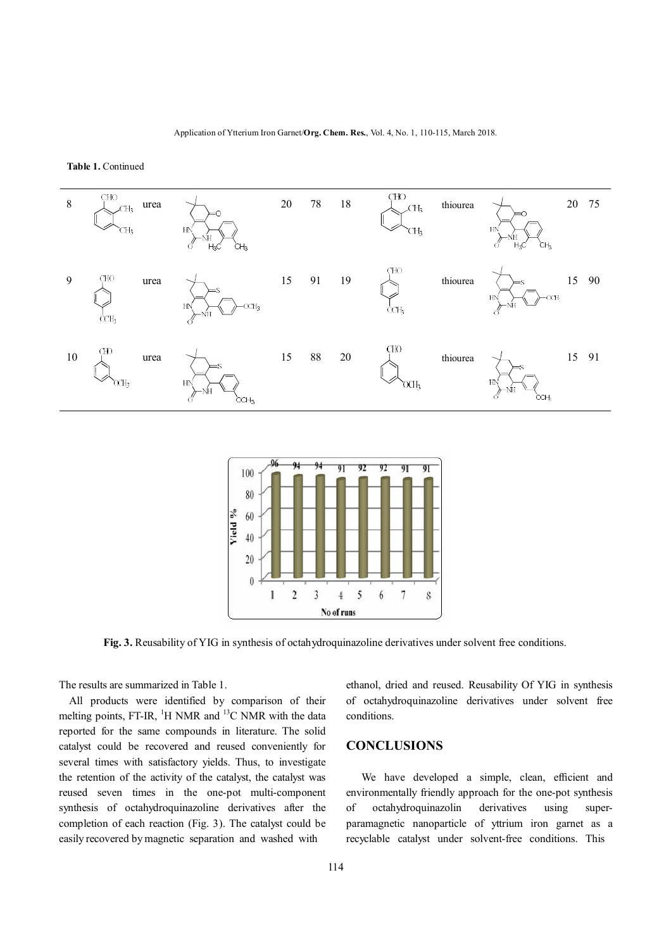**Table 1.** Continued





**Fig. 3.** Reusability of YIG in synthesis of octahydroquinazoline derivatives under solvent free conditions.

The results are summarized in Table 1.

All products were identified by comparison of their melting points, FT-IR,  ${}^{1}$ H NMR and  ${}^{13}$ C NMR with the data reported for the same compounds in literature. The solid catalyst could be recovered and reused conveniently for several times with satisfactory yields. Thus, to investigate the retention of the activity of the catalyst, the catalyst was reused seven times in the one-pot multi-component synthesis of octahydroquinazoline derivatives after the completion of each reaction (Fig. 3). The catalyst could be easily recovered by magnetic separation and washed with

ethanol, dried and reused. Reusability Of YIG in synthesis of octahydroquinazoline derivatives under solvent free conditions.

# **CONCLUSIONS**

 We have developed a simple, clean, efficient and environmentally friendly approach for the one-pot synthesis of octahydroquinazolin derivatives using superparamagnetic nanoparticle of yttrium iron garnet as a recyclable catalyst under solvent-free conditions. This